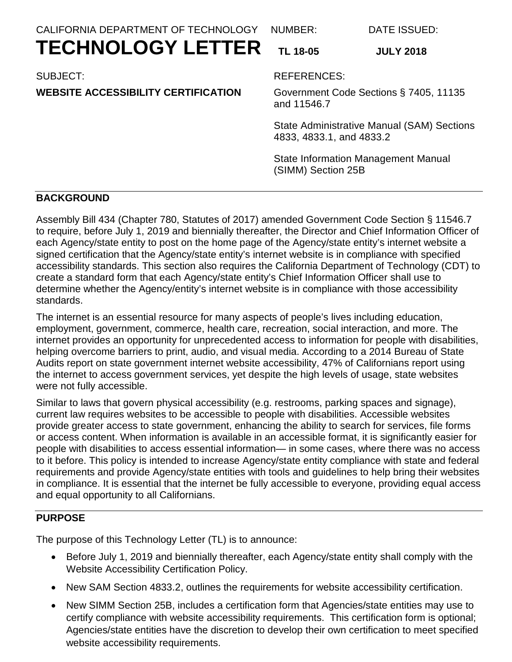CALIFORNIA DEPARTMENT OF TECHNOLOGY

NUMBER:

# **TECHNOLOGY LETTER**

SUBJECT:

# **WEBSITE ACCESSIBILITY CERTIFICATION**

**TL 18-05 JULY 2018**

REFERENCES:

Government Code Sections § 7405, 11135 and 11546.7

DATE ISSUED:

State Administrative Manual (SAM) Sections 4833, 4833.1, and 4833.2

State Information Management Manual (SIMM) Section 25B

## **BACKGROUND**

Assembly Bill 434 (Chapter 780, Statutes of 2017) amended Government Code Section § 11546.7 to require, before July 1, 2019 and biennially thereafter, the Director and Chief Information Officer of each Agency/state entity to post on the home page of the Agency/state entity's internet website a signed certification that the Agency/state entity's internet website is in compliance with specified accessibility standards. This section also requires the California Department of Technology (CDT) to create a standard form that each Agency/state entity's Chief Information Officer shall use to determine whether the Agency/entity's internet website is in compliance with those accessibility standards.

The internet is an essential resource for many aspects of people's lives including education, employment, government, commerce, health care, recreation, social interaction, and more. The internet provides an opportunity for unprecedented access to information for people with disabilities, helping overcome barriers to print, audio, and visual media. According to a 2014 Bureau of State Audits report on state government internet website accessibility, 47% of Californians report using the internet to access government services, yet despite the high levels of usage, state websites were not fully accessible.

Similar to laws that govern physical accessibility (e.g. restrooms, parking spaces and signage), current law requires websites to be accessible to people with disabilities. Accessible websites provide greater access to state government, enhancing the ability to search for services, file forms or access content. When information is available in an accessible format, it is significantly easier for people with disabilities to access essential information— in some cases, where there was no access to it before. This policy is intended to increase Agency/state entity compliance with state and federal requirements and provide Agency/state entities with tools and guidelines to help bring their websites in compliance. It is essential that the internet be fully accessible to everyone, providing equal access and equal opportunity to all Californians.

## **PURPOSE**

The purpose of this Technology Letter (TL) is to announce:

- Before July 1, 2019 and biennially thereafter, each Agency/state entity shall comply with the Website Accessibility Certification Policy.
- New SAM Section 4833.2, outlines the requirements for website accessibility certification.
- New SIMM Section 25B, includes a certification form that Agencies/state entities may use to certify compliance with website accessibility requirements. This certification form is optional; Agencies/state entities have the discretion to develop their own certification to meet specified website accessibility requirements.